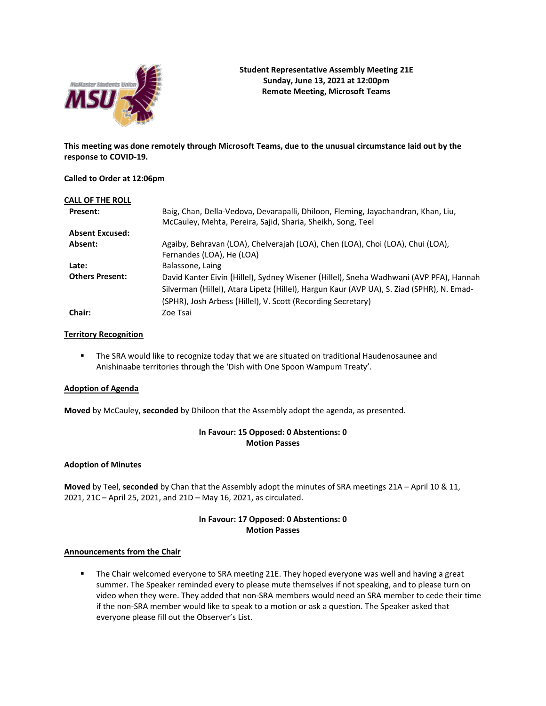

**This meeting was done remotely through Microsoft Teams, due to the unusual circumstance laid out by the response to COVID-19.**

## **Called to Order at 12:06pm**

| <b>CALL OF THE ROLL</b> |                                                                                           |
|-------------------------|-------------------------------------------------------------------------------------------|
| <b>Present:</b>         | Baig, Chan, Della-Vedova, Devarapalli, Dhiloon, Fleming, Jayachandran, Khan, Liu,         |
|                         | McCauley, Mehta, Pereira, Sajid, Sharia, Sheikh, Song, Teel                               |
| <b>Absent Excused:</b>  |                                                                                           |
| Absent:                 | Agaiby, Behravan (LOA), Chelverajah (LOA), Chen (LOA), Choi (LOA), Chui (LOA),            |
|                         | Fernandes (LOA), He (LOA)                                                                 |
| Late:                   | Balassone, Laing                                                                          |
| <b>Others Present:</b>  | David Kanter Eivin (Hillel), Sydney Wisener (Hillel), Sneha Wadhwani (AVP PFA), Hannah    |
|                         | Silverman (Hillel), Atara Lipetz (Hillel), Hargun Kaur (AVP UA), S. Ziad (SPHR), N. Emad- |
|                         | (SPHR), Josh Arbess (Hillel), V. Scott (Recording Secretary)                              |
| Chair:                  | Zoe Tsai                                                                                  |

## **Territory Recognition**

**■** The SRA would like to recognize today that we are situated on traditional Haudenosaunee and Anishinaabe territories through the 'Dish with One Spoon Wampum Treaty'.

### **Adoption of Agenda**

**Moved** by McCauley, **seconded** by Dhiloon that the Assembly adopt the agenda, as presented.

# **In Favour: 15 Opposed: 0 Abstentions: 0 Motion Passes**

### **Adoption of Minutes**

**Moved** by Teel, **seconded** by Chan that the Assembly adopt the minutes of SRA meetings 21A – April 10 & 11, 2021, 21C – April 25, 2021, and 21D – May 16, 2021, as circulated.

# **In Favour: 17 Opposed: 0 Abstentions: 0 Motion Passes**

### **Announcements from the Chair**

■ The Chair welcomed everyone to SRA meeting 21E. They hoped everyone was well and having a great summer. The Speaker reminded every to please mute themselves if not speaking, and to please turn on video when they were. They added that non-SRA members would need an SRA member to cede their time if the non-SRA member would like to speak to a motion or ask a question. The Speaker asked that everyone please fill out the Observer's List.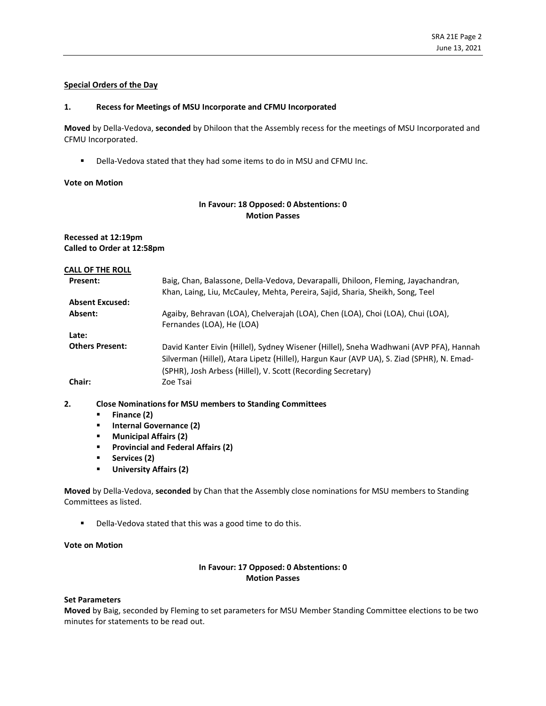## **Special Orders of the Day**

#### **1. Recess for Meetings of MSU Incorporate and CFMU Incorporated**

**Moved**by Della-Vedova, **seconded** by Dhiloon that the Assembly recess for the meetings of MSU Incorporated and CFMU Incorporated.

■ Della-Vedova stated that they had some items to do in MSU and CFMU Inc.

#### **Vote on Motion**

# **In Favour: 18 Opposed: 0 Abstentions: 0 Motion Passes**

## **Recessed at 12:19pm Called to Order at 12:58pm**

| <b>CALL OF THE ROLL</b> |                                                                                                                                                                                                                                                     |
|-------------------------|-----------------------------------------------------------------------------------------------------------------------------------------------------------------------------------------------------------------------------------------------------|
| <b>Present:</b>         | Baig, Chan, Balassone, Della-Vedova, Devarapalli, Dhiloon, Fleming, Jayachandran,<br>Khan, Laing, Liu, McCauley, Mehta, Pereira, Sajid, Sharia, Sheikh, Song, Teel                                                                                  |
| <b>Absent Excused:</b>  |                                                                                                                                                                                                                                                     |
| Absent:                 | Agaiby, Behravan (LOA), Chelverajah (LOA), Chen (LOA), Choi (LOA), Chui (LOA),<br>Fernandes (LOA), He (LOA)                                                                                                                                         |
| Late:                   |                                                                                                                                                                                                                                                     |
| <b>Others Present:</b>  | David Kanter Eivin (Hillel), Sydney Wisener (Hillel), Sneha Wadhwani (AVP PFA), Hannah<br>Silverman (Hillel), Atara Lipetz (Hillel), Hargun Kaur (AVP UA), S. Ziad (SPHR), N. Emad-<br>(SPHR), Josh Arbess (Hillel), V. Scott (Recording Secretary) |
| Chair:                  | Zoe Tsai                                                                                                                                                                                                                                            |

## **2. Close Nominations for MSU members to Standing Committees**

- **Finance (2)**
- **Internal Governance (2)**
- **Municipal Affairs (2)**
- **Provincial and Federal Affairs (2)**
- **Services (2)**
- **University Affairs (2)**

**Moved**by Della-Vedova, **seconded** by Chan that the Assembly close nominations for MSU members to Standing Committees as listed.

■ Della-Vedova stated that this was a good time to do this.

## **Vote on Motion**

## **In Favour: 17 Opposed: 0 Abstentions: 0 Motion Passes**

#### **Set Parameters**

**Moved** by Baig, seconded by Fleming to set parameters for MSU Member Standing Committee elections to be two minutes for statements to be read out.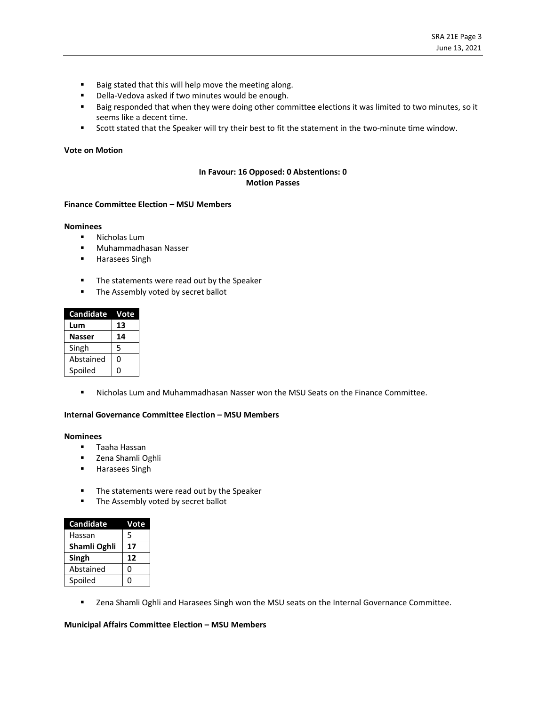- Baig stated that this will help move the meeting along.
- Della-Vedova asked if two minutes would be enough.
- Baig responded that when they were doing other committee elections it was limited to two minutes, so it seems like a decent time.
- Scott stated that the Speaker will try their best to fit the statement in the two-minute time window.

#### **Vote on Motion**

## **In Favour: 16 Opposed: 0 Abstentions: 0 Motion Passes**

#### **Finance Committee Election – MSU Members**

### **Nominees**

- Nicholas Lum
- Muhammadhasan Nasser
- Harasees Singh
- The statements were read out by the Speaker
- **■** The Assembly voted by secret ballot

| <b>Candidate</b> | Vote |
|------------------|------|
| Lum              | 13   |
| <b>Nasser</b>    | 14   |
| Singh            | 5    |
| Abstained        | O    |
| Spoiled          |      |

▪ Nicholas Lum and Muhammadhasan Nasser won the MSU Seats on the Finance Committee.

## **Internal Governance Committee Election – MSU Members**

### **Nominees**

- Taaha Hassan
- Zena Shamli Oghli
- Harasees Singh
- The statements were read out by the Speaker
- **■** The Assembly voted by secret ballot

| <b>Candidate</b> | Vote |
|------------------|------|
| Hassan           | 5    |
| Shamli Oghli     | 17   |
| Singh            | 12   |
| Abstained        | 0    |
| Spoiled          | 0    |

■ Zena Shamli Oghli and Harasees Singh won the MSU seats on the Internal Governance Committee.

### **Municipal Affairs Committee Election – MSU Members**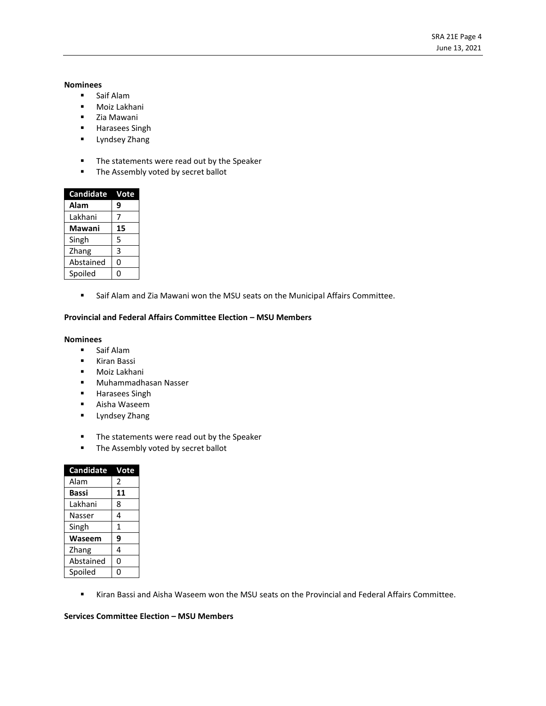## **Nominees**

- Saif Alam
- Moiz Lakhani
- Zia Mawani
- Harasees Singh
- Lyndsey Zhang
- The statements were read out by the Speaker
- The Assembly voted by secret ballot

| Candidate | Vote |
|-----------|------|
| Alam      | 9    |
| Lakhani   | 7    |
| Mawani    | 15   |
| Singh     | 5    |
| Zhang     | 3    |
| Abstained | 0    |
| Spoiled   | n    |

■ Saif Alam and Zia Mawani won the MSU seats on the Municipal Affairs Committee.

### **Provincial and Federal Affairs Committee Election – MSU Members**

#### **Nominees**

- Saif Alam
- Kiran Bassi
- Moiz Lakhani
- Muhammadhasan Nasser
- Harasees Singh
- Aisha Waseem
- Lyndsey Zhang
- The statements were read out by the Speaker
- The Assembly voted by secret ballot

| Candidate | Vote |
|-----------|------|
| Alam      | 2    |
| Bassi     | 11   |
| Lakhani   | 8    |
| Nasser    | 4    |
| Singh     | 1    |
| Waseem    | 9    |
| Zhang     | 4    |
| Abstained | 0    |
| Spoiled   |      |

▪ Kiran Bassi and Aisha Waseem won the MSU seats on the Provincial and Federal Affairs Committee.

## **Services Committee Election – MSU Members**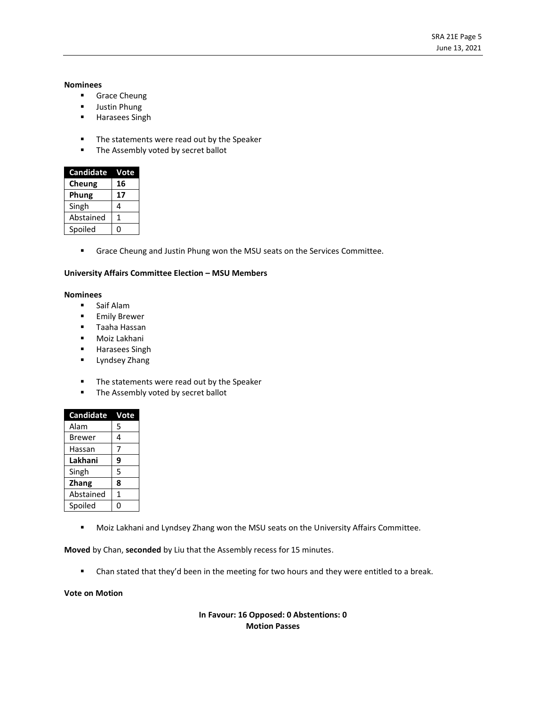#### **Nominees**

- Grace Cheung
- Justin Phung
- Harasees Singh
- The statements were read out by the Speaker
- **■** The Assembly voted by secret ballot

| <b>Candidate</b> | Vote |
|------------------|------|
| Cheung           | 16   |
| Phung            | 17   |
| Singh            | 4    |
| Abstained        | 1    |
| Spoiled          |      |

■ Grace Cheung and Justin Phung won the MSU seats on the Services Committee.

### **University Affairs Committee Election – MSU Members**

#### **Nominees**

- Saif Alam
- **■** Emily Brewer
- Taaha Hassan
- Moiz Lakhani
- Harasees Singh
- Lyndsey Zhang
- The statements were read out by the Speaker
- The Assembly voted by secret ballot

| <b>Candidate</b> | Vote |
|------------------|------|
| Alam             | 5    |
| <b>Brewer</b>    | 4    |
| Hassan           | 7    |
| Lakhani          | 9    |
| Singh            | 5    |
| <b>Zhang</b>     | 8    |
| Abstained        | 1    |
| Spoiled          | O    |

■ Moiz Lakhani and Lyndsey Zhang won the MSU seats on the University Affairs Committee.

**Moved** by Chan, **seconded** by Liu that the Assembly recess for 15 minutes.

■ Chan stated that they'd been in the meeting for two hours and they were entitled to a break.

## **Vote on Motion**

**In Favour: 16 Opposed: 0 Abstentions: 0 Motion Passes**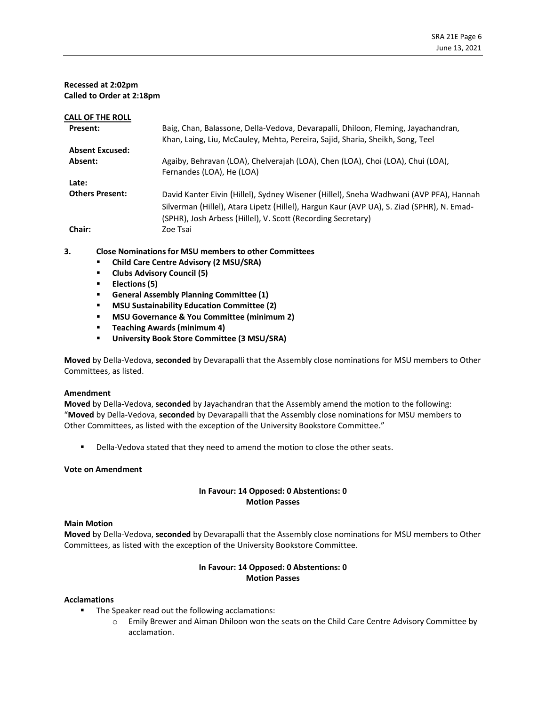## **Recessed at 2:02pm Called to Order at 2:18pm**

| <b>CALL OF THE ROLL</b> |                                                                                           |
|-------------------------|-------------------------------------------------------------------------------------------|
| <b>Present:</b>         | Baig, Chan, Balassone, Della-Vedova, Devarapalli, Dhiloon, Fleming, Jayachandran,         |
|                         | Khan, Laing, Liu, McCauley, Mehta, Pereira, Sajid, Sharia, Sheikh, Song, Teel             |
| <b>Absent Excused:</b>  |                                                                                           |
| Absent:                 | Agaiby, Behravan (LOA), Chelverajah (LOA), Chen (LOA), Choi (LOA), Chui (LOA),            |
|                         | Fernandes (LOA), He (LOA)                                                                 |
| Late:                   |                                                                                           |
| <b>Others Present:</b>  | David Kanter Eivin (Hillel), Sydney Wisener (Hillel), Sneha Wadhwani (AVP PFA), Hannah    |
|                         | Silverman (Hillel), Atara Lipetz (Hillel), Hargun Kaur (AVP UA), S. Ziad (SPHR), N. Emad- |
|                         | (SPHR), Josh Arbess (Hillel), V. Scott (Recording Secretary)                              |
|                         |                                                                                           |
| Chair:                  | Zoe Tsai                                                                                  |
|                         |                                                                                           |

## **3. Close Nominations for MSU members to other Committees**

- **Child Care Centre Advisory (2 MSU/SRA)**
- **Clubs Advisory Council (5)**
- **Elections (5)**
- **General Assembly Planning Committee (1)**
- **MSU Sustainability Education Committee (2)**
- **MSU Governance & You Committee (minimum 2)**
- **Teaching Awards (minimum 4)**
- **University Book Store Committee (3 MSU/SRA)**

**Moved**by Della-Vedova, **seconded** by Devarapalli that the Assembly close nominations for MSU members to Other Committees, as listed.

### **Amendment**

**Moved** by Della-Vedova, **seconded** by Jayachandran that the Assembly amend the motion to the following: "**Moved**by Della-Vedova, **seconded** by Devarapalli that the Assembly close nominations for MSU members to Other Committees, as listed with the exception of the University Bookstore Committee."

**•** Della-Vedova stated that they need to amend the motion to close the other seats.

### **Vote on Amendment**

## **In Favour: 14 Opposed: 0 Abstentions: 0 Motion Passes**

### **Main Motion**

**Moved**by Della-Vedova, **seconded** by Devarapalli that the Assembly close nominations for MSU members to Other Committees, as listed with the exception of the University Bookstore Committee.

# **In Favour: 14 Opposed: 0 Abstentions: 0 Motion Passes**

### **Acclamations**

- The Speaker read out the following acclamations:
	- o Emily Brewer and Aiman Dhiloon won the seats on the Child Care Centre Advisory Committee by acclamation.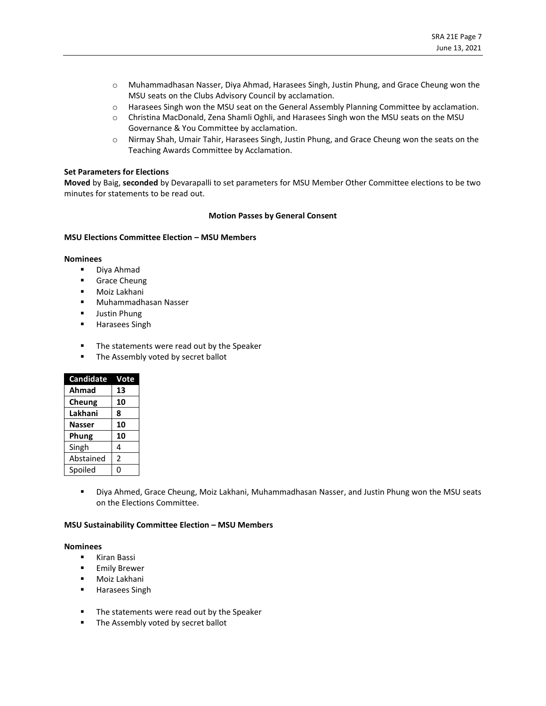- o Muhammadhasan Nasser, Diya Ahmad, Harasees Singh, Justin Phung, and Grace Cheung won the MSU seats on the Clubs Advisory Council by acclamation.
- o Harasees Singh won the MSU seat on the General Assembly Planning Committee by acclamation.
- o Christina MacDonald, Zena Shamli Oghli, and Harasees Singh won the MSU seats on the MSU Governance & You Committee by acclamation.
- o Nirmay Shah, Umair Tahir, Harasees Singh, Justin Phung, and Grace Cheung won the seats on the Teaching Awards Committee by Acclamation.

## **Set Parameters for Elections**

**Moved** by Baig, **seconded** by Devarapalli to set parameters for MSU Member Other Committee elections to be two minutes for statements to be read out.

### **Motion Passes by General Consent**

### **MSU Elections Committee Election – MSU Members**

### **Nominees**

- Diya Ahmad
- **■** Grace Cheung
- Moiz Lakhani
- Muhammadhasan Nasser
- **■** Justin Phung
- Harasees Singh
- The statements were read out by the Speaker
- **■** The Assembly voted by secret ballot

| <b>Candidate</b> | Vote |
|------------------|------|
| Ahmad            | 13   |
| Cheung           | 10   |
| Lakhani          | 8    |
| <b>Nasser</b>    | 10   |
| Phung            | 10   |
| Singh            | 4    |
| Abstained        | 2    |
| Spoiled          |      |

▪ Diya Ahmed, Grace Cheung, Moiz Lakhani, Muhammadhasan Nasser, and Justin Phung won the MSU seats on the Elections Committee.

### **MSU Sustainability Committee Election – MSU Members**

## **Nominees**

- Kiran Bassi
- **Emily Brewer**
- Moiz Lakhani
- Harasees Singh
- The statements were read out by the Speaker
- The Assembly voted by secret ballot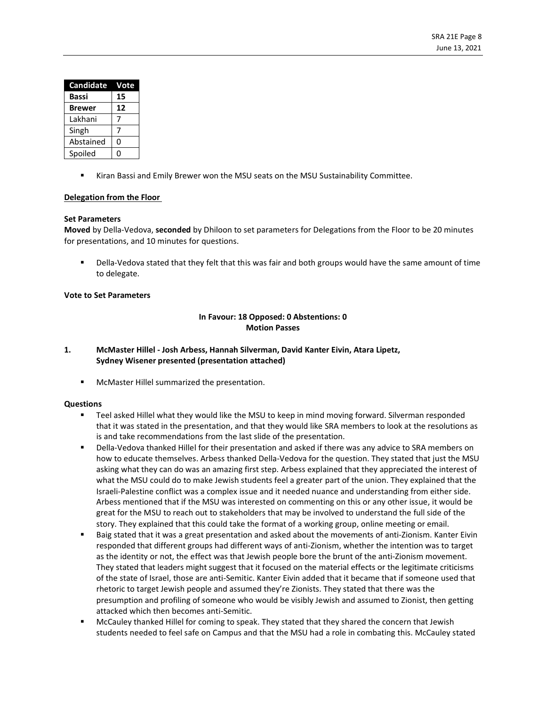| <b>Candidate</b> | Vote |
|------------------|------|
| Bassi            | 15   |
| Brewer           | 12   |
| Lakhani          |      |
| Singh            |      |
| Abstained        | 0    |
| Spoiled          |      |

Kiran Bassi and Emily Brewer won the MSU seats on the MSU Sustainability Committee.

# **Delegation from the Floor**

## **Set Parameters**

**Moved** by Della-Vedova, **seconded** by Dhiloon to set parameters for Delegations from the Floor to be 20 minutes for presentations, and 10 minutes for questions.

Della-Vedova stated that they felt that this was fair and both groups would have the same amount of time to delegate.

# **Vote to Set Parameters**

# **In Favour: 18 Opposed: 0 Abstentions: 0 Motion Passes**

# **1. McMaster Hillel - Josh Arbess, Hannah Silverman, David Kanter Eivin, Atara Lipetz, Sydney Wisener presented (presentation attached)**

▪ McMaster Hillel summarized the presentation.

### **Questions**

- Teel asked Hillel what they would like the MSU to keep in mind moving forward. Silverman responded that it was stated in the presentation, and that they would like SRA members to look at the resolutions as is and take recommendations from the last slide of the presentation.
- Della-Vedova thanked Hillel for their presentation and asked if there was any advice to SRA members on how to educate themselves. Arbess thanked Della-Vedova for the question. They stated that just the MSU asking what they can do was an amazing first step. Arbess explained that they appreciated the interest of what the MSU could do to make Jewish students feel a greater part of the union. They explained that the Israeli-Palestine conflict was a complex issue and it needed nuance and understanding from either side. Arbess mentioned that if the MSU was interested on commenting on this or any other issue, it would be great for the MSU to reach out to stakeholders that may be involved to understand the full side of the story. They explained that this could take the format of a working group, online meeting or email.
- Baig stated that it was a great presentation and asked about the movements of anti-Zionism. Kanter Eivin responded that different groups had different ways of anti-Zionism, whether the intention was to target as the identity or not, the effect was that Jewish people bore the brunt of the anti-Zionism movement. They stated that leaders might suggest that it focused on the material effects or the legitimate criticisms of the state of Israel, those are anti-Semitic. Kanter Eivin added that it became that if someone used that rhetoric to target Jewish people and assumed they're Zionists. They stated that there was the presumption and profiling of someone who would be visibly Jewish and assumed to Zionist, then getting attacked which then becomes anti-Semitic.
- McCauley thanked Hillel for coming to speak. They stated that they shared the concern that Jewish students needed to feel safe on Campus and that the MSU had a role in combating this. McCauley stated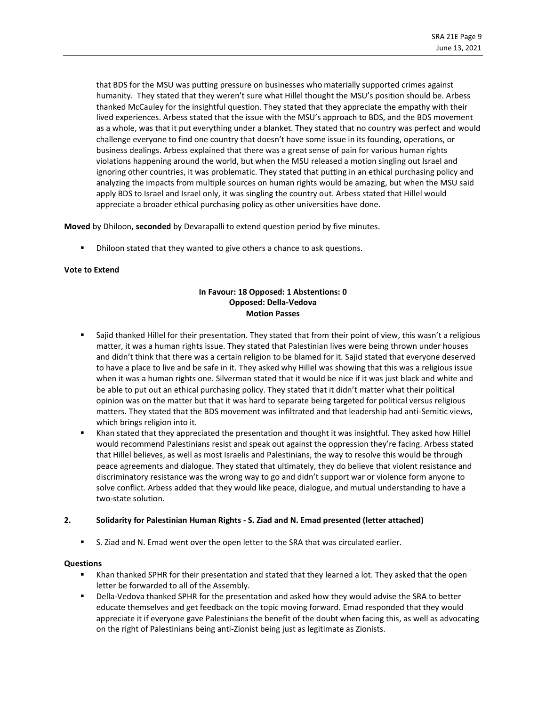that BDS for the MSU was putting pressure on businesses who materially supported crimes against humanity. They stated that they weren't sure what Hillel thought the MSU's position should be. Arbess thanked McCauley for the insightful question. They stated that they appreciate the empathy with their lived experiences. Arbess stated that the issue with the MSU's approach to BDS, and the BDS movement as a whole, was that it put everything under a blanket. They stated that no country was perfect and would challenge everyone to find one country that doesn't have some issue in its founding, operations, or business dealings. Arbess explained that there was a great sense of pain for various human rights violations happening around the world, but when the MSU released a motion singling out Israel and ignoring other countries, it was problematic. They stated that putting in an ethical purchasing policy and analyzing the impacts from multiple sources on human rights would be amazing, but when the MSU said apply BDS to Israel and Israel only, it was singling the country out. Arbess stated that Hillel would appreciate a broader ethical purchasing policy as other universities have done.

**Moved** by Dhiloon, **seconded** by Devarapalli to extend question period by five minutes.

Dhiloon stated that they wanted to give others a chance to ask questions.

## **Vote to Extend**

# **In Favour: 18 Opposed: 1 Abstentions: 0 Opposed: Della-Vedova Motion Passes**

- Sajid thanked Hillel for their presentation. They stated that from their point of view, this wasn't a religious matter, it was a human rights issue. They stated that Palestinian lives were being thrown under houses and didn't think that there was a certain religion to be blamed for it. Sajid stated that everyone deserved to have a place to live and be safe in it. They asked why Hillel was showing that this was a religious issue when it was a human rights one. Silverman stated that it would be nice if it was just black and white and be able to put out an ethical purchasing policy. They stated that it didn't matter what their political opinion was on the matter but that it was hard to separate being targeted for political versus religious matters. They stated that the BDS movement was infiltrated and that leadership had anti-Semitic views, which brings religion into it.
- Khan stated that they appreciated the presentation and thought it was insightful. They asked how Hillel would recommend Palestinians resist and speak out against the oppression they're facing. Arbess stated that Hillel believes, as well as most Israelis and Palestinians, the way to resolve this would be through peace agreements and dialogue. They stated that ultimately, they do believe that violent resistance and discriminatory resistance was the wrong way to go and didn't support war or violence form anyone to solve conflict. Arbess added that they would like peace, dialogue, and mutual understanding to have a two-state solution.

# **2. Solidarity for Palestinian Human Rights - S. Ziad and N. Emad presented (letter attached)**

■ S. Ziad and N. Emad went over the open letter to the SRA that was circulated earlier.

### **Questions**

- Khan thanked SPHR for their presentation and stated that they learned a lot. They asked that the open letter be forwarded to all of the Assembly.
- Della-Vedova thanked SPHR for the presentation and asked how they would advise the SRA to better educate themselves and get feedback on the topic moving forward. Emad responded that they would appreciate it if everyone gave Palestinians the benefit of the doubt when facing this, as well as advocating on the right of Palestinians being anti-Zionist being just as legitimate as Zionists.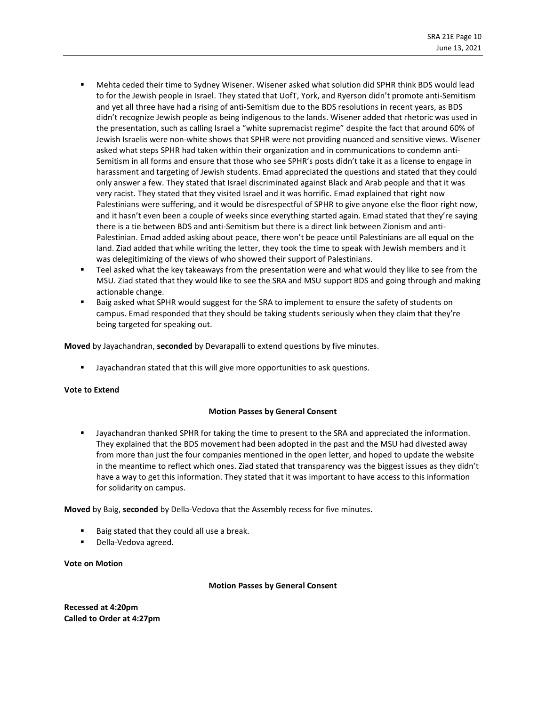- Mehta ceded their time to Sydney Wisener. Wisener asked what solution did SPHR think BDS would lead to for the Jewish people in Israel. They stated that UofT, York, and Ryerson didn't promote anti-Semitism and yet all three have had a rising of anti-Semitism due to the BDS resolutions in recent years, as BDS didn't recognize Jewish people as being indigenous to the lands. Wisener added that rhetoric was used in the presentation, such as calling Israel a "white supremacist regime" despite the fact that around 60% of Jewish Israelis were non-white shows that SPHR were not providing nuanced and sensitive views. Wisener asked what steps SPHR had taken within their organization and in communications to condemn anti-Semitism in all forms and ensure that those who see SPHR's posts didn't take it as a license to engage in harassment and targeting of Jewish students. Emad appreciated the questions and stated that they could only answer a few. They stated that Israel discriminated against Black and Arab people and that it was very racist. They stated that they visited Israel and it was horrific. Emad explained that right now Palestinians were suffering, and it would be disrespectful of SPHR to give anyone else the floor right now, and it hasn't even been a couple of weeks since everything started again. Emad stated that they're saying there is a tie between BDS and anti-Semitism but there is a direct link between Zionism and anti-Palestinian. Emad added asking about peace, there won't be peace until Palestinians are all equal on the land. Ziad added that while writing the letter, they took the time to speak with Jewish members and it was delegitimizing of the views of who showed their support of Palestinians.
- Teel asked what the key takeaways from the presentation were and what would they like to see from the MSU. Ziad stated that they would like to see the SRA and MSU support BDS and going through and making actionable change.
- Baig asked what SPHR would suggest for the SRA to implement to ensure the safety of students on campus. Emad responded that they should be taking students seriously when they claim that they're being targeted for speaking out.

**Moved** by Jayachandran, **seconded** by Devarapalli to extend questions by five minutes.

Jayachandran stated that this will give more opportunities to ask questions.

### **Vote to Extend**

# **Motion Passes by General Consent**

Jayachandran thanked SPHR for taking the time to present to the SRA and appreciated the information. They explained that the BDS movement had been adopted in the past and the MSU had divested away from more than just the four companies mentioned in the open letter, and hoped to update the website in the meantime to reflect which ones. Ziad stated that transparency was the biggest issues as they didn't have a way to get this information. They stated that it was important to have access to this information for solidarity on campus.

**Moved** by Baig, **seconded** by Della-Vedova that the Assembly recess for five minutes.

- Baig stated that they could all use a break.
- Della-Vedova agreed.

### **Vote on Motion**

### **Motion Passes by General Consent**

**Recessed at 4:20pm Called to Order at 4:27pm**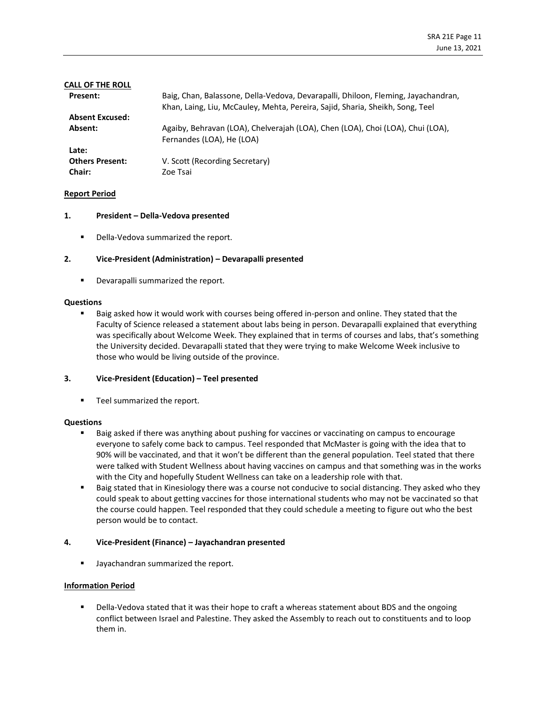| CALL OF THE ROLL       |                                                                                                                                                                    |
|------------------------|--------------------------------------------------------------------------------------------------------------------------------------------------------------------|
| <b>Present:</b>        | Baig, Chan, Balassone, Della-Vedova, Devarapalli, Dhiloon, Fleming, Jayachandran,<br>Khan, Laing, Liu, McCauley, Mehta, Pereira, Sajid, Sharia, Sheikh, Song, Teel |
| <b>Absent Excused:</b> |                                                                                                                                                                    |
| Absent:                | Agaiby, Behravan (LOA), Chelverajah (LOA), Chen (LOA), Choi (LOA), Chui (LOA),<br>Fernandes (LOA), He (LOA)                                                        |
| Late:                  |                                                                                                                                                                    |
| <b>Others Present:</b> | V. Scott (Recording Secretary)                                                                                                                                     |
| Chair:                 | Zoe Tsai                                                                                                                                                           |

## **Report Period**

### **1. President – Della-Vedova presented**

■ Della-Vedova summarized the report.

## **2. Vice-President (Administration) – Devarapalli presented**

■ Devarapalli summarized the report.

### **Questions**

Baig asked how it would work with courses being offered in-person and online. They stated that the Faculty of Science released a statement about labs being in person. Devarapalli explained that everything was specifically about Welcome Week. They explained that in terms of courses and labs, that's something the University decided. Devarapalli stated that they were trying to make Welcome Week inclusive to those who would be living outside of the province.

### **3. Vice-President (Education) – Teel presented**

■ Teel summarized the report.

### **Questions**

- Baig asked if there was anything about pushing for vaccines or vaccinating on campus to encourage everyone to safely come back to campus. Teel responded that McMaster is going with the idea that to 90% will be vaccinated, and that it won't be different than the general population. Teel stated that there were talked with Student Wellness about having vaccines on campus and that something was in the works with the City and hopefully Student Wellness can take on a leadership role with that.
- Baig stated that in Kinesiology there was a course not conducive to social distancing. They asked who they could speak to about getting vaccines for those international students who may not be vaccinated so that the course could happen. Teel responded that they could schedule a meeting to figure out who the best person would be to contact.

# **4. Vice-President (Finance) – Jayachandran presented**

**■** Jayachandran summarized the report.

### **Information Period**

Della-Vedova stated that it was their hope to craft a whereas statement about BDS and the ongoing conflict between Israel and Palestine. They asked the Assembly to reach out to constituents and to loop them in.